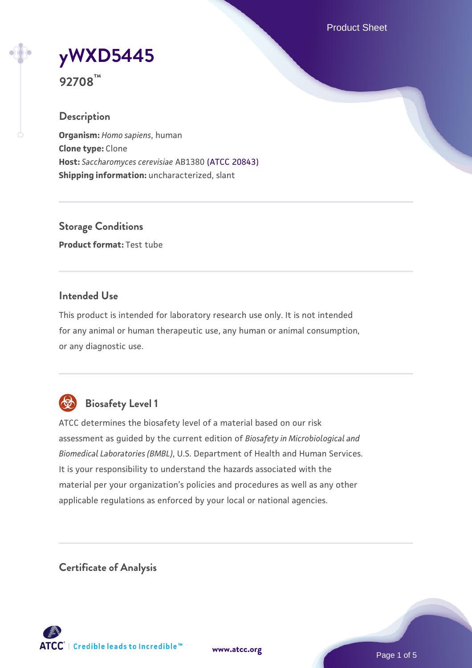Product Sheet

**[yWXD5445](https://www.atcc.org/products/92708)**

**92708™**

# **Description**

**Organism:** *Homo sapiens*, human **Clone type:** Clone **Host:** *Saccharomyces cerevisiae* AB1380 [\(ATCC 20843\)](https://www.atcc.org/products/20843) **Shipping information:** uncharacterized, slant

**Storage Conditions Product format:** Test tube

# **Intended Use**

This product is intended for laboratory research use only. It is not intended for any animal or human therapeutic use, any human or animal consumption, or any diagnostic use.



# **Biosafety Level 1**

ATCC determines the biosafety level of a material based on our risk assessment as guided by the current edition of *Biosafety in Microbiological and Biomedical Laboratories (BMBL)*, U.S. Department of Health and Human Services. It is your responsibility to understand the hazards associated with the material per your organization's policies and procedures as well as any other applicable regulations as enforced by your local or national agencies.

**Certificate of Analysis**

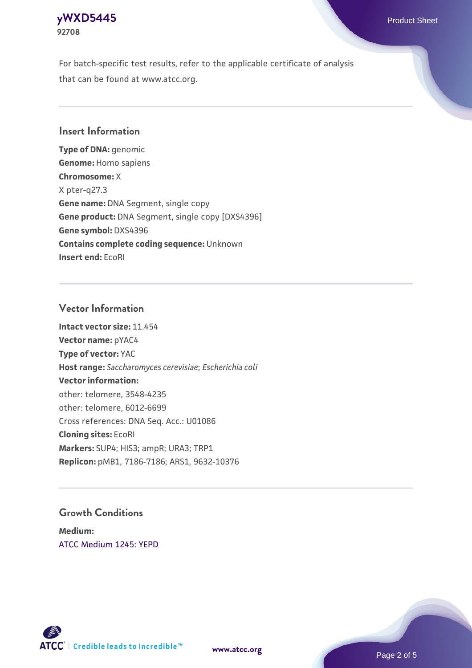# **[yWXD5445](https://www.atcc.org/products/92708)** Product Sheet **92708**

For batch-specific test results, refer to the applicable certificate of analysis that can be found at www.atcc.org.

# **Insert Information**

**Type of DNA:** genomic **Genome:** Homo sapiens **Chromosome:** X X pter-q27.3 **Gene name:** DNA Segment, single copy **Gene product:** DNA Segment, single copy [DXS4396] **Gene symbol:** DXS4396 **Contains complete coding sequence:** Unknown **Insert end:** EcoRI

# **Vector Information**

**Intact vector size:** 11.454 **Vector name:** pYAC4 **Type of vector:** YAC **Host range:** *Saccharomyces cerevisiae*; *Escherichia coli* **Vector information:** other: telomere, 3548-4235 other: telomere, 6012-6699 Cross references: DNA Seq. Acc.: U01086 **Cloning sites:** EcoRI **Markers:** SUP4; HIS3; ampR; URA3; TRP1 **Replicon:** pMB1, 7186-7186; ARS1, 9632-10376

# **Growth Conditions**

**Medium:**  [ATCC Medium 1245: YEPD](https://www.atcc.org/-/media/product-assets/documents/microbial-media-formulations/1/2/4/5/atcc-medium-1245.pdf?rev=705ca55d1b6f490a808a965d5c072196)



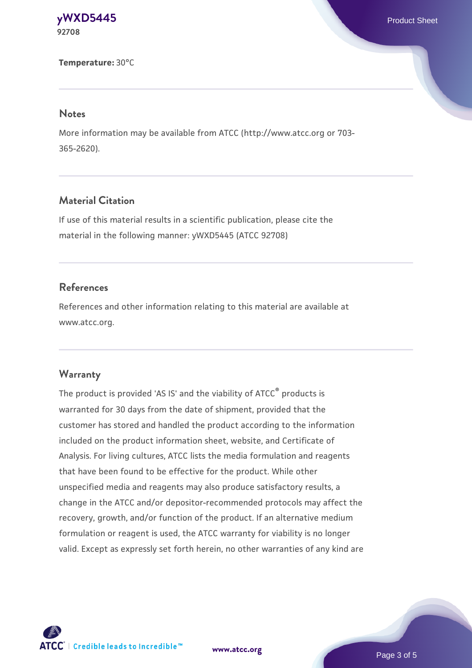#### **[yWXD5445](https://www.atcc.org/products/92708)** Product Sheet **92708**

**Temperature:** 30°C

#### **Notes**

More information may be available from ATCC (http://www.atcc.org or 703- 365-2620).

# **Material Citation**

If use of this material results in a scientific publication, please cite the material in the following manner: yWXD5445 (ATCC 92708)

# **References**

References and other information relating to this material are available at www.atcc.org.

#### **Warranty**

The product is provided 'AS IS' and the viability of ATCC® products is warranted for 30 days from the date of shipment, provided that the customer has stored and handled the product according to the information included on the product information sheet, website, and Certificate of Analysis. For living cultures, ATCC lists the media formulation and reagents that have been found to be effective for the product. While other unspecified media and reagents may also produce satisfactory results, a change in the ATCC and/or depositor-recommended protocols may affect the recovery, growth, and/or function of the product. If an alternative medium formulation or reagent is used, the ATCC warranty for viability is no longer valid. Except as expressly set forth herein, no other warranties of any kind are

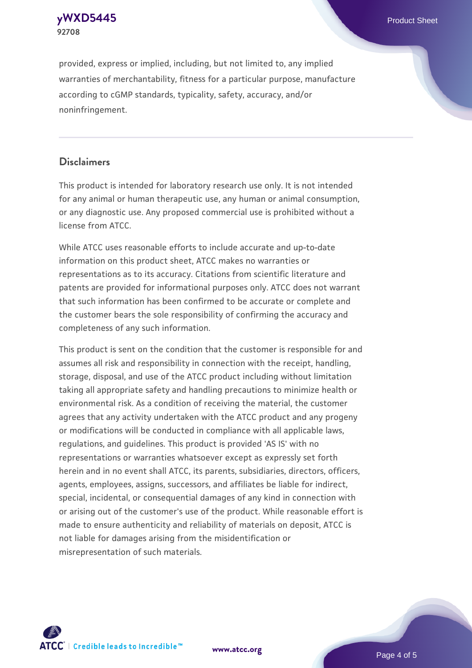#### **[yWXD5445](https://www.atcc.org/products/92708)** Product Sheet **92708**

provided, express or implied, including, but not limited to, any implied warranties of merchantability, fitness for a particular purpose, manufacture according to cGMP standards, typicality, safety, accuracy, and/or noninfringement.

# **Disclaimers**

This product is intended for laboratory research use only. It is not intended for any animal or human therapeutic use, any human or animal consumption, or any diagnostic use. Any proposed commercial use is prohibited without a license from ATCC.

While ATCC uses reasonable efforts to include accurate and up-to-date information on this product sheet, ATCC makes no warranties or representations as to its accuracy. Citations from scientific literature and patents are provided for informational purposes only. ATCC does not warrant that such information has been confirmed to be accurate or complete and the customer bears the sole responsibility of confirming the accuracy and completeness of any such information.

This product is sent on the condition that the customer is responsible for and assumes all risk and responsibility in connection with the receipt, handling, storage, disposal, and use of the ATCC product including without limitation taking all appropriate safety and handling precautions to minimize health or environmental risk. As a condition of receiving the material, the customer agrees that any activity undertaken with the ATCC product and any progeny or modifications will be conducted in compliance with all applicable laws, regulations, and guidelines. This product is provided 'AS IS' with no representations or warranties whatsoever except as expressly set forth herein and in no event shall ATCC, its parents, subsidiaries, directors, officers, agents, employees, assigns, successors, and affiliates be liable for indirect, special, incidental, or consequential damages of any kind in connection with or arising out of the customer's use of the product. While reasonable effort is made to ensure authenticity and reliability of materials on deposit, ATCC is not liable for damages arising from the misidentification or misrepresentation of such materials.



**[www.atcc.org](http://www.atcc.org)**

Page 4 of 5